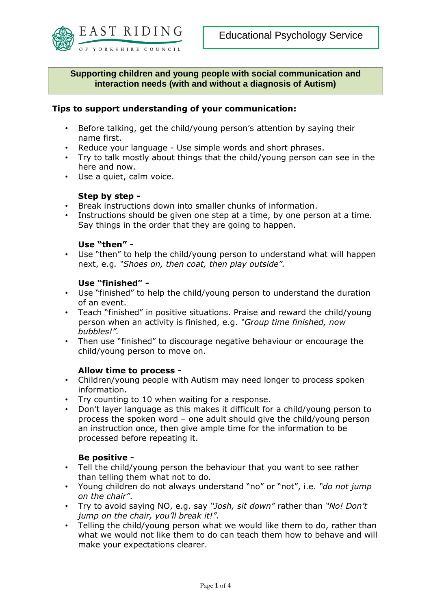

**Supporting children and young people with social communication and interaction needs (with and without a diagnosis of Autism)**

## **Tips to support understanding of your communication:**

- Before talking, get the child/young person's attention by saying their name first.
- Reduce your language Use simple words and short phrases.
- Try to talk mostly about things that the child/young person can see in the here and now.
- Use a quiet, calm voice.

## **Step by step -**

- Break instructions down into smaller chunks of information.
- Instructions should be given one step at a time, by one person at a time. Say things in the order that they are going to happen.

### **Use "then" -**

• Use "then" to help the child/young person to understand what will happen next, e.g*. "Shoes on, then coat, then play outside".*

## **Use "finished" -**

- Use "finished" to help the child/young person to understand the duration of an event.
- Teach "finished" in positive situations. Praise and reward the child/young person when an activity is finished, e.g. *"Group time finished, now bubbles!".*
- Then use "finished" to discourage negative behaviour or encourage the child/young person to move on.

### **Allow time to process -**

- Children/young people with Autism may need longer to process spoken information.
- Try counting to 10 when waiting for a response.
- Don't layer language as this makes it difficult for a child/young person to process the spoken word – one adult should give the child/young person an instruction once, then give ample time for the information to be processed before repeating it.

# **Be positive -**

- Tell the child/young person the behaviour that you want to see rather than telling them what not to do.
- Young children do not always understand "no" or "not", i.e. *"do not jump on the chair"*.
- Try to avoid saying NO, e.g. say *"Josh, sit down"* rather than *"No! Don't jump on the chair, you'll break it!".*
- Telling the child/young person what we would like them to do, rather than what we would not like them to do can teach them how to behave and will make your expectations clearer.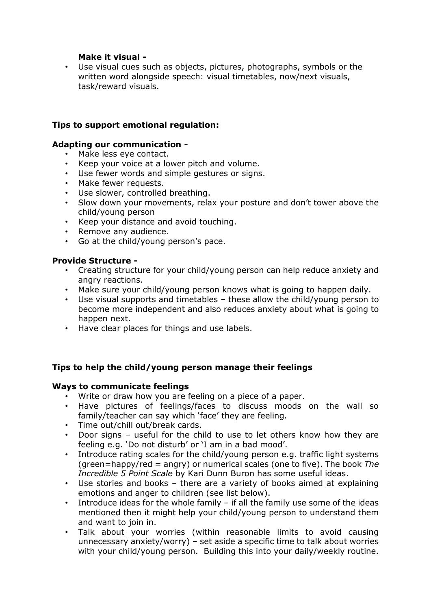# **Make it visual -**

• Use visual cues such as objects, pictures, photographs, symbols or the written word alongside speech: visual timetables, now/next visuals, task/reward visuals.

# **Tips to support emotional regulation:**

# **Adapting our communication -**

- Make less eye contact.
- Keep your voice at a lower pitch and volume.
- Use fewer words and simple gestures or signs.
- Make fewer requests.
- Use slower, controlled breathing.
- Slow down your movements, relax your posture and don't tower above the child/young person
- Keep your distance and avoid touching.
- Remove any audience.
- Go at the child/young person's pace.

# **Provide Structure -**

- Creating structure for your child/young person can help reduce anxiety and angry reactions.
- Make sure your child/young person knows what is going to happen daily.
- Use visual supports and timetables these allow the child/young person to become more independent and also reduces anxiety about what is going to happen next.
- Have clear places for things and use labels.

# **Tips to help the child/young person manage their feelings**

### **Ways to communicate feelings**

- Write or draw how you are feeling on a piece of a paper.
- Have pictures of feelings/faces to discuss moods on the wall so family/teacher can say which 'face' they are feeling.
- Time out/chill out/break cards.
- Door signs useful for the child to use to let others know how they are feeling e.g. 'Do not disturb' or 'I am in a bad mood'.
- Introduce rating scales for the child/young person e.g. traffic light systems (green=happy/red = angry) or numerical scales (one to five). The book *The Incredible 5 Point Scale* by Kari Dunn Buron has some useful ideas.
- Use stories and books there are a variety of books aimed at explaining emotions and anger to children (see list below).
- Introduce ideas for the whole family if all the family use some of the ideas mentioned then it might help your child/young person to understand them and want to join in.
- Talk about your worries (within reasonable limits to avoid causing unnecessary anxiety/worry) – set aside a specific time to talk about worries with your child/young person. Building this into your daily/weekly routine.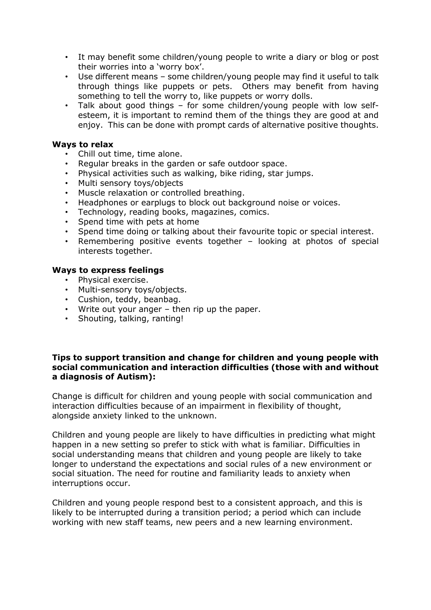- It may benefit some children/young people to write a diary or blog or post their worries into a 'worry box'.
- Use different means some children/young people may find it useful to talk through things like puppets or pets. Others may benefit from having something to tell the worry to, like puppets or worry dolls.
- Talk about good things for some children/young people with low selfesteem, it is important to remind them of the things they are good at and eniov. This can be done with prompt cards of alternative positive thoughts.

## **Ways to relax**

- Chill out time, time alone.
- Regular breaks in the garden or safe outdoor space.
- Physical activities such as walking, bike riding, star jumps.
- Multi sensory toys/objects
- Muscle relaxation or controlled breathing.
- Headphones or earplugs to block out background noise or voices.
- Technology, reading books, magazines, comics.
- Spend time with pets at home
- Spend time doing or talking about their favourite topic or special interest.
- Remembering positive events together looking at photos of special interests together.

### **Ways to express feelings**

- Physical exercise.
- Multi-sensory toys/objects.
- Cushion, teddy, beanbag.
- Write out your anger then rip up the paper.
- Shouting, talking, ranting!

## **Tips to support transition and change for children and young people with social communication and interaction difficulties (those with and without a diagnosis of Autism):**

Change is difficult for children and young people with social communication and interaction difficulties because of an impairment in flexibility of thought, alongside anxiety linked to the unknown.

Children and young people are likely to have difficulties in predicting what might happen in a new setting so prefer to stick with what is familiar. Difficulties in social understanding means that children and young people are likely to take longer to understand the expectations and social rules of a new environment or social situation. The need for routine and familiarity leads to anxiety when interruptions occur.

Children and young people respond best to a consistent approach, and this is likely to be interrupted during a transition period; a period which can include working with new staff teams, new peers and a new learning environment.